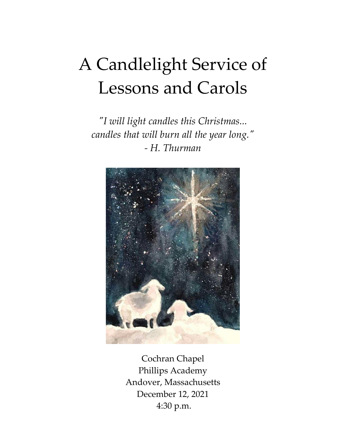# A Candlelight Service of Lessons and Carols

*"I will light candles this Christmas... candles that will burn all the year long." - H. Thurman*



Cochran Chapel Phillips Academy Andover, Massachusetts December 12, 2021 4:30 p.m.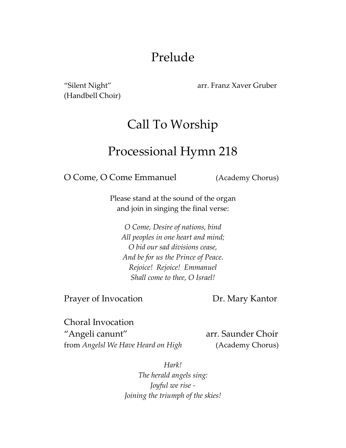# Prelude

(Handbell Choir)

"Silent Night" arr. Franz Xaver Gruber

# Call To Worship

#### Processional Hymn 218

O Come, O Come Emmanuel (Academy Chorus)

Please stand at the sound of the organ and join in singing the final verse:

*O Come, Desire of nations, bind All peoples in one heart and mind; O bid our sad divisions cease, And be for us the Prince of Peace. Rejoice! Rejoice! Emmanuel Shall come to thee, O Israel!*

Prayer of Invocation Dr. Mary Kantor

Choral Invocation "Angeli canunt" arr. Saunder Choir from *Angelsl We Have Heard on High* (Academy Chorus)

*Hark! The herald angels sing: Joyful we rise - Joining the triumph of the skies!*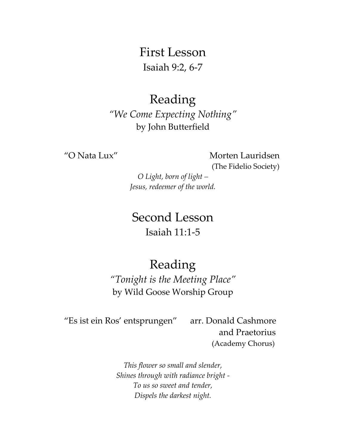# First Lesson Isaiah 9:2, 6-7

#### Reading

*"We Come Expecting Nothing"* by John Butterfield

"O Nata Lux" Morten Lauridsen

(The Fidelio Society)

*O Light, born of light – Jesus, redeemer of the world.*

# Second Lesson Isaiah 11:1-5

# Reading

*"Tonight is the Meeting Place"* by Wild Goose Worship Group

"Es ist ein Ros' entsprungen" arr. Donald Cashmore

 and Praetorius (Academy Chorus)

*This flower so small and slender, Shines through with radiance bright - To us so sweet and tender, Dispels the darkest night.*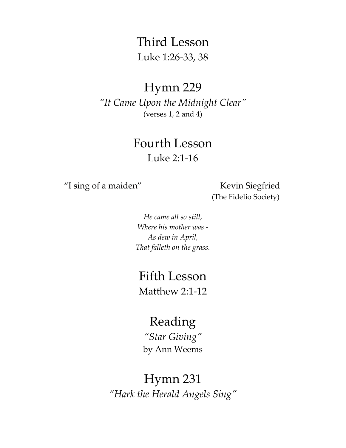Third Lesson Luke 1:26-33, 38

## Hymn 229

*"It Came Upon the Midnight Clear"* (verses 1, 2 and 4)

# Fourth Lesson

Luke 2:1-16

"I sing of a maiden" Kevin Siegfried

(The Fidelio Society)

*He came all so still, Where his mother was - As dew in April, That falleth on the grass.*

Fifth Lesson Matthew 2:1-12

# Reading

*"Star Giving"* by Ann Weems

Hymn 231 *"Hark the Herald Angels Sing"*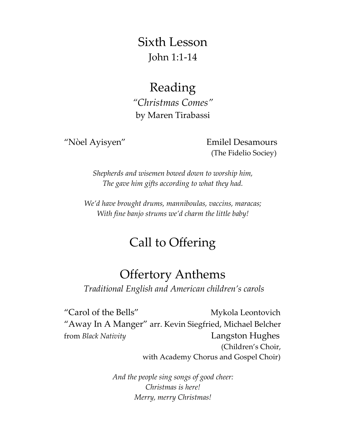# Sixth Lesson John 1:1-14

# Reading

*"Christmas Comes"* by Maren Tirabassi

"Nòel Ayisyen" Emilel Desamours (The Fidelio Sociey)

> *Shepherds and wisemen bowed down to worship him, The gave him gifts according to what they had.*

*We'd have brought drums, manniboulas, vaccins, maracas; With fine banjo strums we'd charm the little baby!*

# Call to Offering

# Offertory Anthems

*Traditional English and American children's carols*

"Carol of the Bells" Mykola Leontovich "Away In A Manger" arr. Kevin Siegfried, Michael Belcher from *Black Nativity* Langston Hughes (Children's Choir, with Academy Chorus and Gospel Choir)

> *And the people sing songs of good cheer: Christmas is here! Merry, merry Christmas!*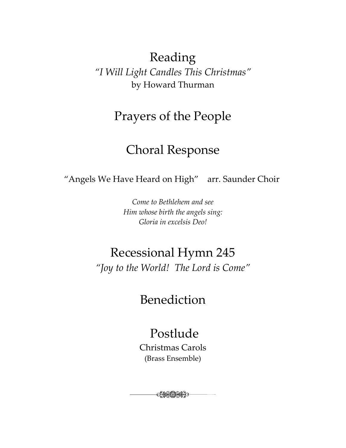## Reading *"I Will Light Candles This Christmas"* by Howard Thurman

# Prayers of the People

# Choral Response

#### "Angels We Have Heard on High" arr. Saunder Choir

*Come to Bethlehem and see Him whose birth the angels sing: Gloria in excelsis Deo!*

# Recessional Hymn 245

*"Joy to the World! The Lord is Come"*

# Benediction

# Postlude

Christmas Carols (Brass Ensemble)

<del>082663263</del>3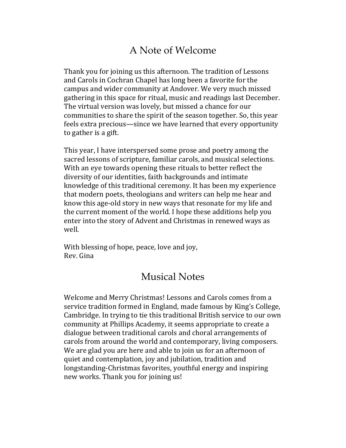#### A Note of Welcome

Thank you for joining us this afternoon. The tradition of Lessons and Carols in Cochran Chapel has long been a favorite for the campus and wider community at Andover. We very much missed gathering in this space for ritual, music and readings last December. The virtual version was lovely, but missed a chance for our communities to share the spirit of the season together. So, this year feels extra precious—since we have learned that every opportunity to gather is a gift.

This year, I have interspersed some prose and poetry among the sacred lessons of scripture, familiar carols, and musical selections. With an eye towards opening these rituals to better reflect the diversity of our identities, faith backgrounds and intimate knowledge of this traditional ceremony. It has been my experience that modern poets, theologians and writers can help me hear and know this age-old story in new ways that resonate for my life and the current moment of the world. I hope these additions help you enter into the story of Advent and Christmas in renewed ways as well.

With blessing of hope, peace, love and joy, Rev. Gina

#### Musical Notes

Welcome and Merry Christmas! Lessons and Carols comes from a service tradition formed in England, made famous by King's College, Cambridge. In trying to tie this traditional British service to our own community at Phillips Academy, it seems appropriate to create a dialogue between traditional carols and choral arrangements of carols from around the world and contemporary, living composers. We are glad you are here and able to join us for an afternoon of quiet and contemplation, joy and jubilation, tradition and longstanding-Christmas favorites, youthful energy and inspiring new works. Thank you for joining us!